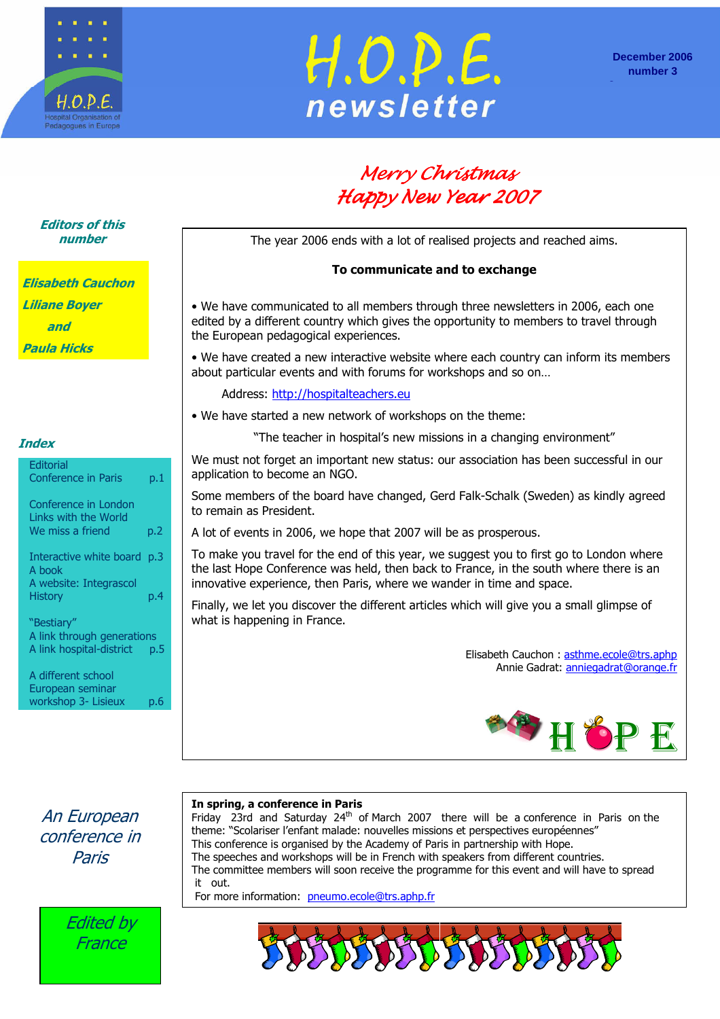



# Merry Christmas Happy New Year 2007

The year 2006 ends with a lot of realised projects and reached aims.

### To communicate and to exchange

• We have communicated to all members through three newsletters in 2006, each one edited by a different country which gives the opportunity to members to travel through the European pedagogical experiences.

• We have created a new interactive website where each country can inform its members about particular events and with forums for workshops and so on…

Address: http://hospitalteachers.eu

• We have started a new network of workshops on the theme:

"The teacher in hospital's new missions in a changing environment"

We must not forget an important new status: our association has been successful in our application to become an NGO.

Some members of the board have changed, Gerd Falk-Schalk (Sweden) as kindly agreed to remain as President.

A lot of events in 2006, we hope that 2007 will be as prosperous.

To make you travel for the end of this year, we suggest you to first go to London where the last Hope Conference was held, then back to France, in the south where there is an innovative experience, then Paris, where we wander in time and space.

Finally, we let you discover the different articles which will give you a small glimpse of what is happening in France.

> Elisabeth Cauchon : asthme.ecole@trs.aphp Annie Gadrat: anniegadrat@orange.fr



A different school European seminar workshop 3- Lisieux p.6

An European conference in Paris



### In spring, a conference in Paris

Friday 23rd and Saturday 24<sup>th</sup> of March 2007 there will be a conference in Paris on the theme: "Scolariser l'enfant malade: nouvelles missions et perspectives européennes" This conference is organised by the Academy of Paris in partnership with Hope. The speeches and workshops will be in French with speakers from different countries. The committee members will soon receive the programme for this event and will have to spread it out.

For more information: pneumo.ecole@trs.aphp.fr



### Editors of this number

| Elisabeth Cauchon           |
|-----------------------------|
| <i><b>Liliane Boyer</b></i> |
| and                         |
| Paula Hicks                 |

### **Index**

**Editorial** 

| <b>Conference in Paris</b>                                              | p.1 |
|-------------------------------------------------------------------------|-----|
| Conference in London<br><b>Links with the World</b><br>We miss a friend | p.2 |
| Interactive white board p.3<br>A book<br>A website: Integrascol         |     |
| <b>History</b><br>"Bestiary"                                            | p.4 |
| A link through generations<br>A link hospital-district                  | p.5 |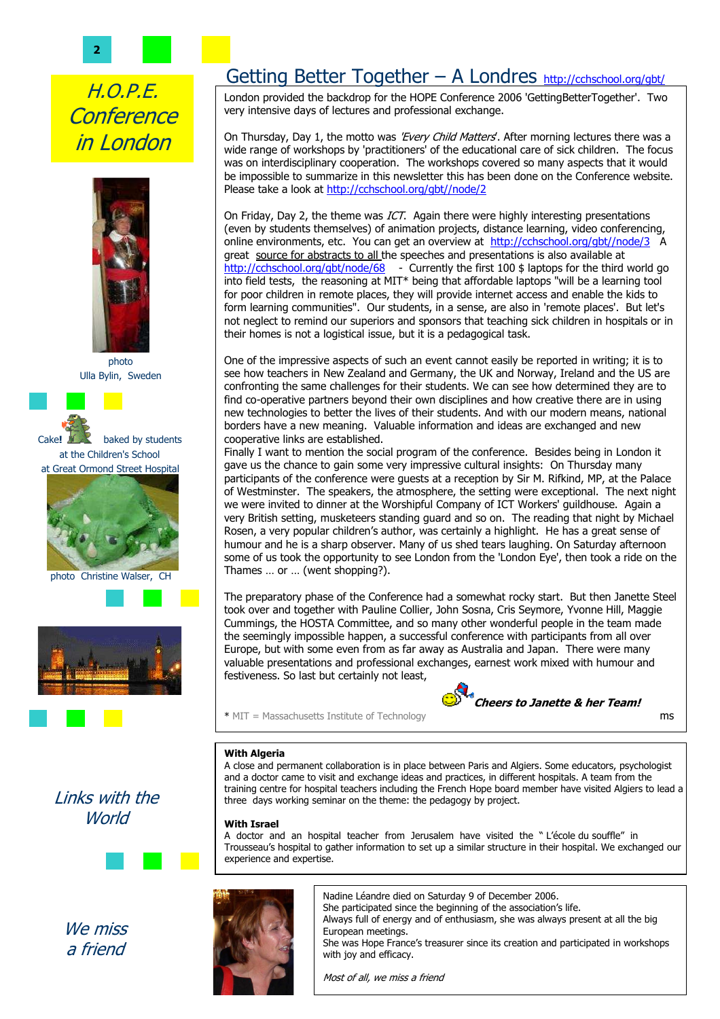2

# H.O.P.E. **Conference** in London



photo Ulla Bylin, Sweden



at Great Ormond Street Hospital



photo Christine Walser, CH



# Getting Better Together – A Londres http://cchschool.org/gbt/

 London provided the backdrop for the HOPE Conference 2006 'GettingBetterTogether'. Two very intensive days of lectures and professional exchange.

On Thursday, Day 1, the motto was 'Every Child Matters'. After morning lectures there was a wide range of workshops by 'practitioners' of the educational care of sick children. The focus was on interdisciplinary cooperation. The workshops covered so many aspects that it would be impossible to summarize in this newsletter this has been done on the Conference website. Please take a look at http://cchschool.org/gbt//node/2

On Friday, Day 2, the theme was ICT. Again there were highly interesting presentations (even by students themselves) of animation projects, distance learning, video conferencing, online environments, etc. You can get an overview at http://cchschool.org/gbt//node/3 A great source for abstracts to all the speeches and presentations is also available at http://cchschool.org/gbt/node/68 - Currently the first 100 \$ laptops for the third world go into field tests, the reasoning at MIT\* being that affordable laptops "will be a learning tool for poor children in remote places, they will provide internet access and enable the kids to form learning communities". Our students, in a sense, are also in 'remote places'. But let's not neglect to remind our superiors and sponsors that teaching sick children in hospitals or in their homes is not a logistical issue, but it is a pedagogical task.

One of the impressive aspects of such an event cannot easily be reported in writing; it is to see how teachers in New Zealand and Germany, the UK and Norway, Ireland and the US are confronting the same challenges for their students. We can see how determined they are to find co-operative partners beyond their own disciplines and how creative there are in using new technologies to better the lives of their students. And with our modern means, national borders have a new meaning. Valuable information and ideas are exchanged and new cooperative links are established.

Finally I want to mention the social program of the conference. Besides being in London it gave us the chance to gain some very impressive cultural insights: On Thursday many participants of the conference were guests at a reception by Sir M. Rifkind, MP, at the Palace of Westminster. The speakers, the atmosphere, the setting were exceptional. The next night we were invited to dinner at the Worshipful Company of ICT Workers' guildhouse. Again a very British setting, musketeers standing guard and so on. The reading that night by Michael Rosen, a very popular children's author, was certainly a highlight. He has a great sense of humour and he is a sharp observer. Many of us shed tears laughing. On Saturday afternoon some of us took the opportunity to see London from the 'London Eye', then took a ride on the Thames … or … (went shopping?).

The preparatory phase of the Conference had a somewhat rocky start. But then Janette Steel took over and together with Pauline Collier, John Sosna, Cris Seymore, Yvonne Hill, Maggie Cummings, the HOSTA Committee, and so many other wonderful people in the team made the seemingly impossible happen, a successful conference with participants from all over Europe, but with some even from as far away as Australia and Japan. There were many valuable presentations and professional exchanges, earnest work mixed with humour and festiveness. So last but certainly not least,

\* MIT = Massachusetts Institute of Technology ms



### **With Algeria**

A close and permanent collaboration is in place between Paris and Algiers. Some educators, psychologist and a doctor came to visit and exchange ideas and practices, in different hospitals. A team from the training centre for hospital teachers including the French Hope board member have visited Algiers to lead a three days working seminar on the theme: the pedagogy by project.

#### With Israel

A doctor and an hospital teacher from Jerusalem have visited the " L'école du souffle" in Trousseau's hospital to gather information to set up a similar structure in their hospital. We exchanged our experience and expertise.

Nadine Léandre died on Saturday 9 of December 2006. She participated since the beginning of the association's life. Always full of energy and of enthusiasm, she was always present at all the big European meetings. She was Hope France's treasurer since its creation and participated in workshops with joy and efficacy.

Most of all, we miss a friend



We miss a friend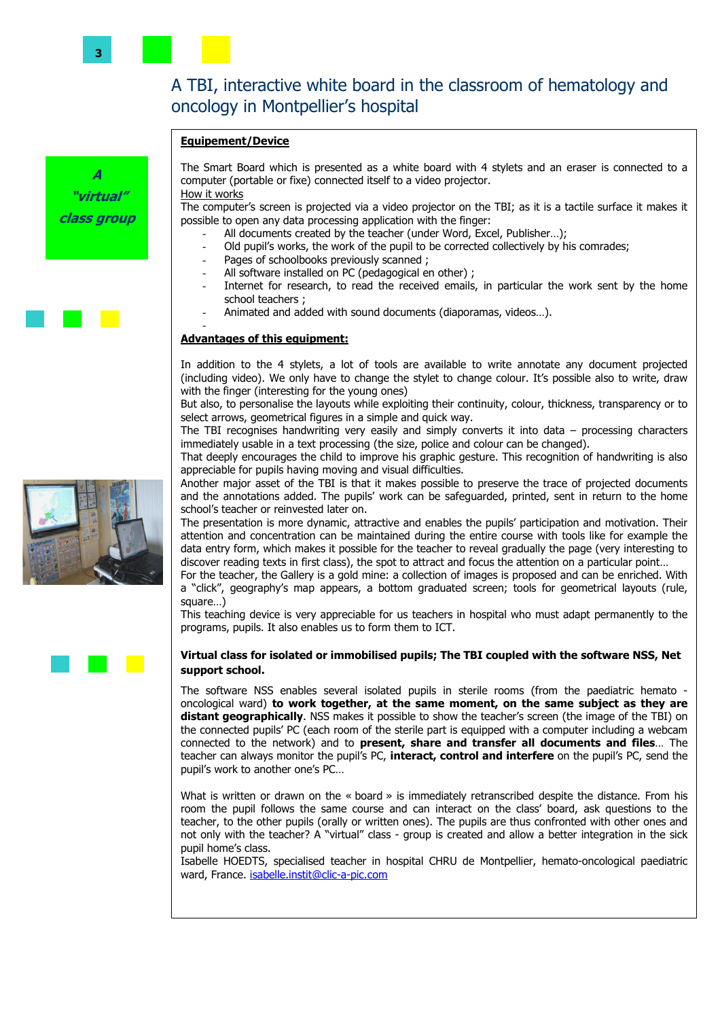### A TBI, interactive white board in the classroom of hematology and oncology in Montpellier's hospital

#### Equipement/Device



The Smart Board which is presented as a white board with 4 stylets and an eraser is connected to a computer (portable or fixe) connected itself to a video projector. How it works

The computer's screen is projected via a video projector on the TBI; as it is a tactile surface it makes it possible to open any data processing application with the finger:

- All documents created by the teacher (under Word, Excel, Publisher...);
- Old pupil's works, the work of the pupil to be corrected collectively by his comrades;
- Pages of schoolbooks previously scanned ;
- All software installed on PC (pedagogical en other) ;
- Internet for research, to read the received emails, in particular the work sent by the home school teachers ;
- Animated and added with sound documents (diaporamas, videos...).

#### Advantages of this equipment:

-

In addition to the 4 stylets, a lot of tools are available to write annotate any document projected (including video). We only have to change the stylet to change colour. It's possible also to write, draw with the finger (interesting for the young ones)

But also, to personalise the layouts while exploiting their continuity, colour, thickness, transparency or to select arrows, geometrical figures in a simple and quick way.

The TBI recognises handwriting very easily and simply converts it into data – processing characters immediately usable in a text processing (the size, police and colour can be changed).

That deeply encourages the child to improve his graphic gesture. This recognition of handwriting is also appreciable for pupils having moving and visual difficulties.

Another major asset of the TBI is that it makes possible to preserve the trace of projected documents and the annotations added. The pupils' work can be safeguarded, printed, sent in return to the home school's teacher or reinvested later on.

The presentation is more dynamic, attractive and enables the pupils' participation and motivation. Their attention and concentration can be maintained during the entire course with tools like for example the data entry form, which makes it possible for the teacher to reveal gradually the page (very interesting to discover reading texts in first class), the spot to attract and focus the attention on a particular point…

For the teacher, the Gallery is a gold mine: a collection of images is proposed and can be enriched. With a "click", geography's map appears, a bottom graduated screen; tools for geometrical layouts (rule, square…)

This teaching device is very appreciable for us teachers in hospital who must adapt permanently to the programs, pupils. It also enables us to form them to ICT.

#### Virtual class for isolated or immobilised pupils; The TBI coupled with the software NSS, Net support school.

The software NSS enables several isolated pupils in sterile rooms (from the paediatric hemato oncological ward) to work together, at the same moment, on the same subject as they are distant geographically. NSS makes it possible to show the teacher's screen (the image of the TBI) on the connected pupils' PC (each room of the sterile part is equipped with a computer including a webcam connected to the network) and to present, share and transfer all documents and files… The teacher can always monitor the pupil's PC, interact, control and interfere on the pupil's PC, send the pupil's work to another one's PC…

What is written or drawn on the « board » is immediately retranscribed despite the distance. From his room the pupil follows the same course and can interact on the class' board, ask questions to the teacher, to the other pupils (orally or written ones). The pupils are thus confronted with other ones and not only with the teacher? A "virtual" class - group is created and allow a better integration in the sick pupil home's class.

Isabelle HOEDTS, specialised teacher in hospital CHRU de Montpellier, hemato-oncological paediatric ward, France. isabelle.instit@clic-a-pic.com

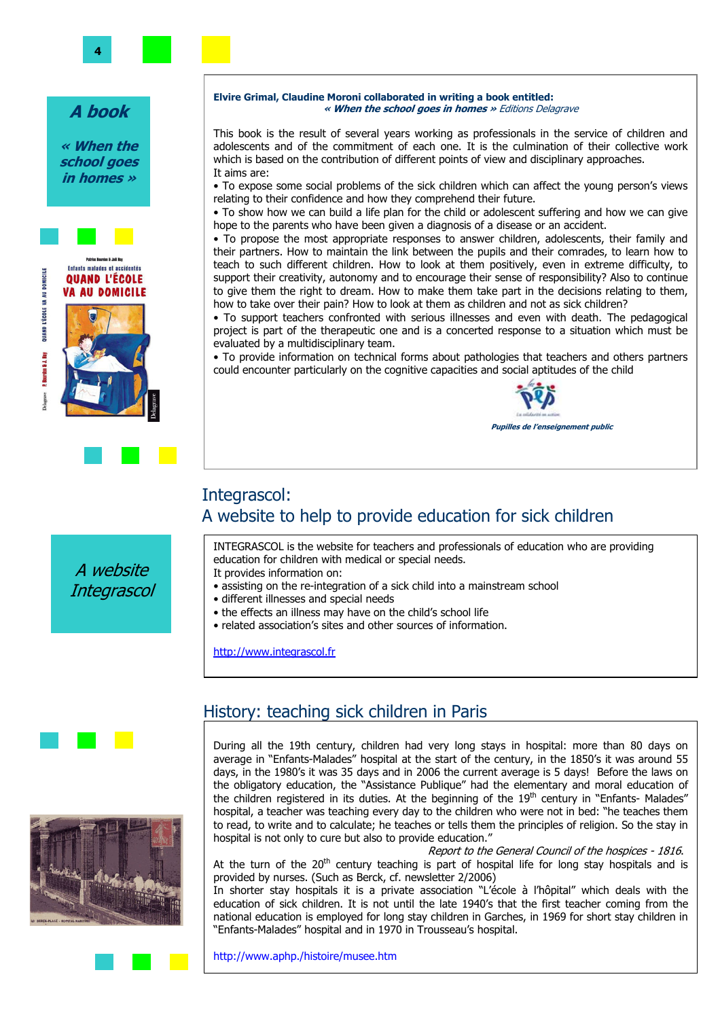### A book

« When the school goes in homes »



A website **Integrascol** 



This book is the result of several years working as professionals in the service of children and adolescents and of the commitment of each one. It is the culmination of their collective work which is based on the contribution of different points of view and disciplinary approaches. It aims are:

• To expose some social problems of the sick children which can affect the young person's views relating to their confidence and how they comprehend their future.

• To show how we can build a life plan for the child or adolescent suffering and how we can give hope to the parents who have been given a diagnosis of a disease or an accident.

• To propose the most appropriate responses to answer children, adolescents, their family and their partners. How to maintain the link between the pupils and their comrades, to learn how to teach to such different children. How to look at them positively, even in extreme difficulty, to support their creativity, autonomy and to encourage their sense of responsibility? Also to continue to give them the right to dream. How to make them take part in the decisions relating to them, how to take over their pain? How to look at them as children and not as sick children?

• To support teachers confronted with serious illnesses and even with death. The pedagogical project is part of the therapeutic one and is a concerted response to a situation which must be evaluated by a multidisciplinary team.

• To provide information on technical forms about pathologies that teachers and others partners could encounter particularly on the cognitive capacities and social aptitudes of the child



### Integrascol: A website to help to provide education for sick children

INTEGRASCOL is the website for teachers and professionals of education who are providing education for children with medical or special needs.

- It provides information on:
- assisting on the re-integration of a sick child into a mainstream school
- different illnesses and special needs
- the effects an illness may have on the child's school life
- related association's sites and other sources of information.

http://www.integrascol.fr





### History: teaching sick children in Paris

During all the 19th century, children had very long stays in hospital: more than 80 days on average in "Enfants-Malades" hospital at the start of the century, in the 1850's it was around 55 days, in the 1980's it was 35 days and in 2006 the current average is 5 days! Before the laws on the obligatory education, the "Assistance Publique" had the elementary and moral education of the children registered in its duties. At the beginning of the  $19<sup>th</sup>$  century in "Enfants- Malades" hospital, a teacher was teaching every day to the children who were not in bed: "he teaches them to read, to write and to calculate; he teaches or tells them the principles of religion. So the stay in hospital is not only to cure but also to provide education."

 Report to the General Council of the hospices - 1816. At the turn of the  $20<sup>th</sup>$  century teaching is part of hospital life for long stay hospitals and is provided by nurses. (Such as Berck, cf. newsletter 2/2006)

In shorter stay hospitals it is a private association "L'école à l'hôpital" which deals with the education of sick children. It is not until the late 1940's that the first teacher coming from the national education is employed for long stay children in Garches, in 1969 for short stay children in "Enfants-Malades" hospital and in 1970 in Trousseau's hospital.

http://www.aphp./histoire/musee.htm

4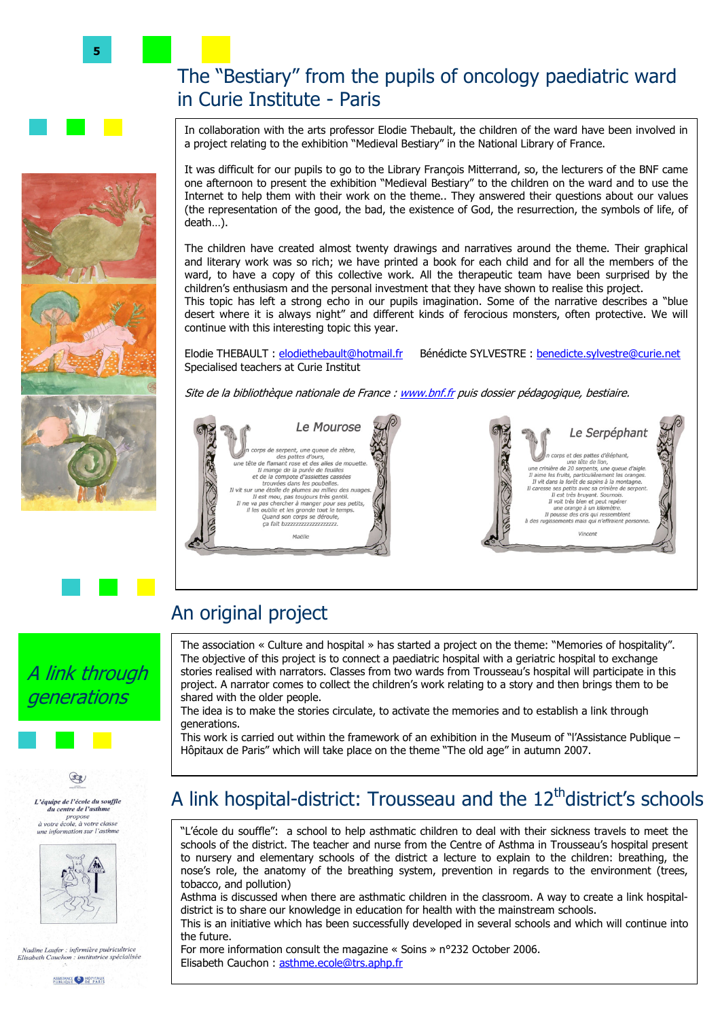# The "Bestiary" from the pupils of oncology paediatric ward in Curie Institute - Paris

In collaboration with the arts professor Elodie Thebault, the children of the ward have been involved in a project relating to the exhibition "Medieval Bestiary" in the National Library of France.

It was difficult for our pupils to go to the Library François Mitterrand, so, the lecturers of the BNF came one afternoon to present the exhibition "Medieval Bestiary" to the children on the ward and to use the Internet to help them with their work on the theme.. They answered their questions about our values (the representation of the good, the bad, the existence of God, the resurrection, the symbols of life, of death…).

The children have created almost twenty drawings and narratives around the theme. Their graphical and literary work was so rich; we have printed a book for each child and for all the members of the ward, to have a copy of this collective work. All the therapeutic team have been surprised by the children's enthusiasm and the personal investment that they have shown to realise this project.

This topic has left a strong echo in our pupils imagination. Some of the narrative describes a "blue desert where it is always night" and different kinds of ferocious monsters, often protective. We will continue with this interesting topic this year.

Elodie THEBAULT : elodiethebault@hotmail.fr Bénédicte SYLVESTRE : benedicte.sylvestre@curie.net Specialised teachers at Curie Institut

Site de la bibliothèque nationale de France : www.bnf.fr puis dossier pédagogique, bestiaire.



# An original project

Email: culturehopital@hotmail.com

The association « Culture and hospital » has started a project on the theme: "Memories of hospitality". The objective of this project is to connect a paediatric hospital with a geriatric hospital to exchange stories realised with narrators. Classes from two wards from Trousseau's hospital will participate in this project. A narrator comes to collect the children's work relating to a story and then brings them to be shared with the older people.

The idea is to make the stories circulate, to activate the memories and to establish a link through generations.

This work is carried out within the framework of an exhibition in the Museum of "l'Assistance Publique – Hôpitaux de Paris" which will take place on the theme "The old age" in autumn 2007.

# A link hospital-district: Trousseau and the 12<sup>th</sup>district's schools

"L'école du souffle": a school to help asthmatic children to deal with their sickness travels to meet the schools of the district. The teacher and nurse from the Centre of Asthma in Trousseau's hospital present to nursery and elementary schools of the district a lecture to explain to the children: breathing, the nose's role, the anatomy of the breathing system, prevention in regards to the environment (trees, tobacco, and pollution)

Asthma is discussed when there are asthmatic children in the classroom. A way to create a link hospitaldistrict is to share our knowledge in education for health with the mainstream schools.

This is an initiative which has been successfully developed in several schools and which will continue into the future.

For more information consult the magazine « Soins » n°232 October 2006. Elisabeth Cauchon : asthme.ecole@trs.aphp.fr











Nadine Laufer : infirmière puéricultrice Elisabeth Cauchon : institutrice spécialisée